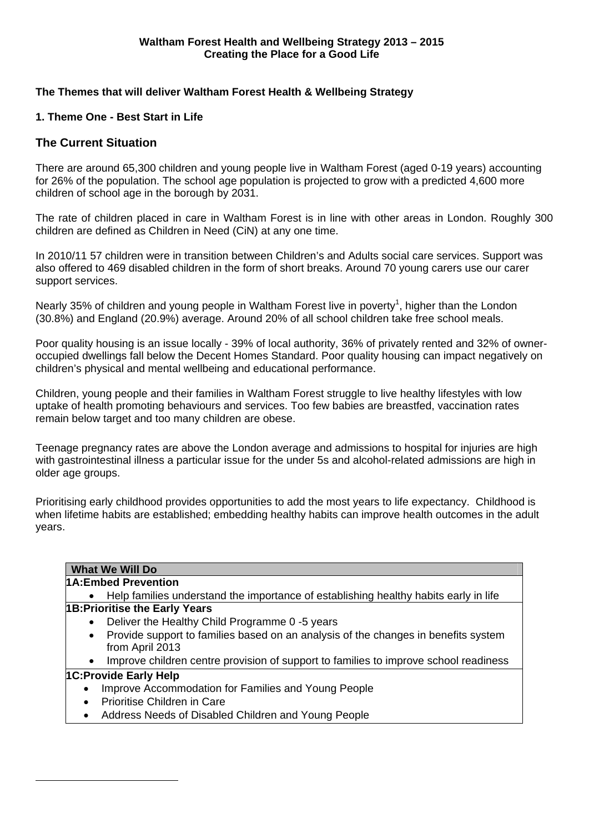## **The Themes that will deliver Waltham Forest Health & Wellbeing Strategy**

## **1. Theme One - Best Start in Life**

# **The Current Situation**

1

There are around 65,300 children and young people live in Waltham Forest (aged 0-19 years) accounting for 26% of the population. The school age population is projected to grow with a predicted 4,600 more children of school age in the borough by 2031.

The rate of children placed in care in Waltham Forest is in line with other areas in London. Roughly 300 children are defined as Children in Need (CiN) at any one time.

In 2010/11 57 children were in transition between Children's and Adults social care services. Support was also offered to 469 disabled children in the form of short breaks. Around 70 young carers use our carer support services.

Nearly 35% of children and young people in Waltham Forest live in poverty<sup>1</sup>, higher than the London (30.8%) and England (20.9%) average. Around 20% of all school children take free school meals.

Poor quality housing is an issue locally - 39% of local authority, 36% of privately rented and 32% of owneroccupied dwellings fall below the Decent Homes Standard. Poor quality housing can impact negatively on children's physical and mental wellbeing and educational performance.

Children, young people and their families in Waltham Forest struggle to live healthy lifestyles with low uptake of health promoting behaviours and services. Too few babies are breastfed, vaccination rates remain below target and too many children are obese.

Teenage pregnancy rates are above the London average and admissions to hospital for injuries are high with gastrointestinal illness a particular issue for the under 5s and alcohol-related admissions are high in older age groups.

Prioritising early childhood provides opportunities to add the most years to life expectancy. Childhood is when lifetime habits are established; embedding healthy habits can improve health outcomes in the adult years.

| <b>What We Will Do</b>                                                                            |  |  |
|---------------------------------------------------------------------------------------------------|--|--|
| 1A: Embed Prevention                                                                              |  |  |
| Help families understand the importance of establishing healthy habits early in life<br>$\bullet$ |  |  |
| <b>1B: Prioritise the Early Years</b>                                                             |  |  |
| Deliver the Healthy Child Programme 0 -5 years<br>$\bullet$                                       |  |  |
| Provide support to families based on an analysis of the changes in benefits system<br>$\bullet$   |  |  |
| from April 2013                                                                                   |  |  |
| Improve children centre provision of support to families to improve school readiness<br>$\bullet$ |  |  |
| <b>1C:Provide Early Help</b>                                                                      |  |  |
| Improve Accommodation for Families and Young People<br>$\bullet$                                  |  |  |
| Prioritise Children in Care<br>$\bullet$                                                          |  |  |
| Address Needs of Disabled Children and Young People<br>$\bullet$                                  |  |  |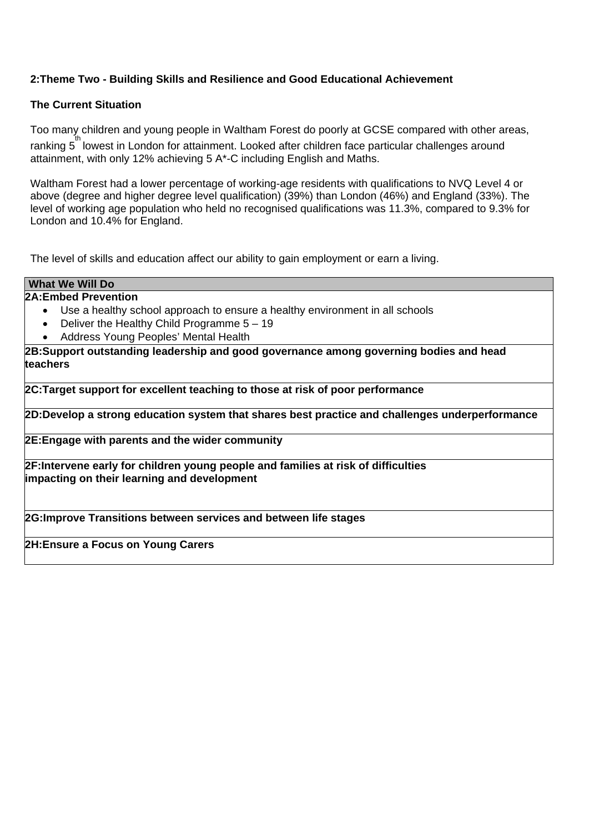# **2:Theme Two - Building Skills and Resilience and Good Educational Achievement**

## **The Current Situation**

Too many children and young people in Waltham Forest do poorly at GCSE compared with other areas, ranking 5<sup>th</sup> lowest in London for attainment. Looked after children face particular challenges around attainment, with only 12% achieving 5 A\*-C including English and Maths.

Waltham Forest had a lower percentage of working-age residents with qualifications to NVQ Level 4 or above (degree and higher degree level qualification) (39%) than London (46%) and England (33%). The level of working age population who held no recognised qualifications was 11.3%, compared to 9.3% for London and 10.4% for England.

The level of skills and education affect our ability to gain employment or earn a living.

## **What We Will Do**

# **2A:Embed Prevention**

- Use a healthy school approach to ensure a healthy environment in all schools
- Deliver the Healthy Child Programme  $5 19$
- Address Young Peoples' Mental Health

**2B:Support outstanding leadership and good governance among governing bodies and head teachers** 

**2C:Target support for excellent teaching to those at risk of poor performance** 

**2D:Develop a strong education system that shares best practice and challenges underperformance** 

**2E:Engage with parents and the wider community** 

**2F:Intervene early for children young people and families at risk of difficulties impacting on their learning and development** 

**2G:Improve Transitions between services and between life stages** 

**2H:Ensure a Focus on Young Carers**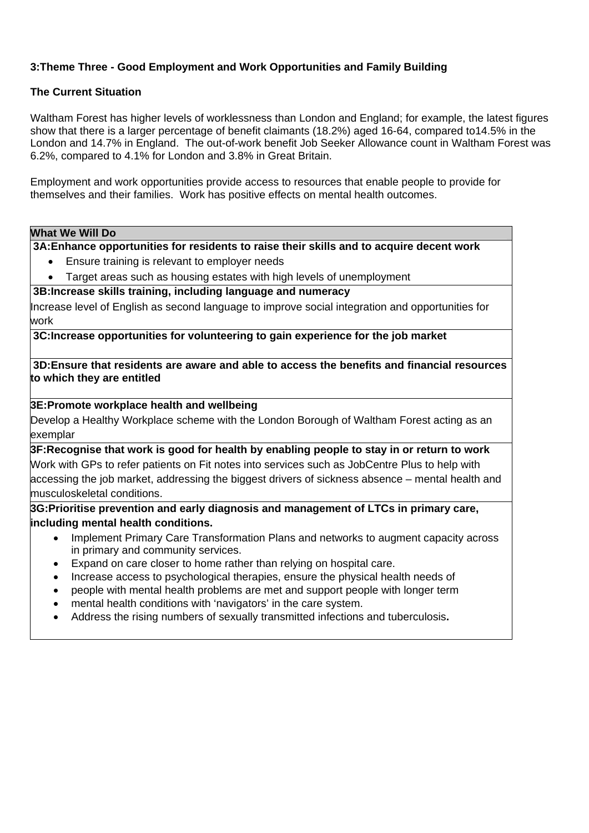# **3:Theme Three - Good Employment and Work Opportunities and Family Building**

## **The Current Situation**

Waltham Forest has higher levels of worklessness than London and England; for example, the latest figures show that there is a larger percentage of benefit claimants (18.2%) aged 16-64, compared to14.5% in the London and 14.7% in England. The out-of-work benefit Job Seeker Allowance count in Waltham Forest was 6.2%, compared to 4.1% for London and 3.8% in Great Britain.

Employment and work opportunities provide access to resources that enable people to provide for themselves and their families. Work has positive effects on mental health outcomes.

### **What We Will Do**

**3A:Enhance opportunities for residents to raise their skills and to acquire decent work**

- Ensure training is relevant to employer needs
- Target areas such as housing estates with high levels of unemployment

**3B:Increase skills training, including language and numeracy** 

Increase level of English as second language to improve social integration and opportunities for work

**3C:Increase opportunities for volunteering to gain experience for the job market**

**3D:Ensure that residents are aware and able to access the benefits and financial resources to which they are entitled** 

## **3E:Promote workplace health and wellbeing**

Develop a Healthy Workplace scheme with the London Borough of Waltham Forest acting as an exemplar

**3F:Recognise that work is good for health by enabling people to stay in or return to work**  Work with GPs to refer patients on Fit notes into services such as JobCentre Plus to help with accessing the job market, addressing the biggest drivers of sickness absence – mental health and musculoskeletal conditions.

**3G:Prioritise prevention and early diagnosis and management of LTCs in primary care, including mental health conditions.** 

- Implement Primary Care Transformation Plans and networks to augment capacity across in primary and community services.
- Expand on care closer to home rather than relying on hospital care.
- Increase access to psychological therapies, ensure the physical health needs of
- people with mental health problems are met and support people with longer term
- mental health conditions with 'navigators' in the care system.
- Address the rising numbers of sexually transmitted infections and tuberculosis**.**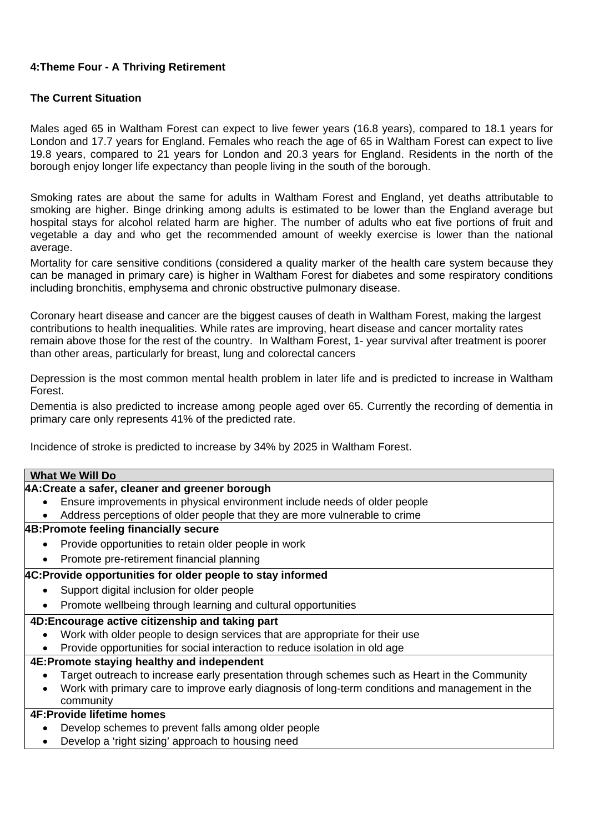# **4:Theme Four - A Thriving Retirement**

# **The Current Situation**

Males aged 65 in Waltham Forest can expect to live fewer years (16.8 years), compared to 18.1 years for London and 17.7 years for England. Females who reach the age of 65 in Waltham Forest can expect to live 19.8 years, compared to 21 years for London and 20.3 years for England. Residents in the north of the borough enjoy longer life expectancy than people living in the south of the borough.

Smoking rates are about the same for adults in Waltham Forest and England, yet deaths attributable to smoking are higher. Binge drinking among adults is estimated to be lower than the England average but hospital stays for alcohol related harm are higher. The number of adults who eat five portions of fruit and vegetable a day and who get the recommended amount of weekly exercise is lower than the national average.

Mortality for care sensitive conditions (considered a quality marker of the health care system because they can be managed in primary care) is higher in Waltham Forest for diabetes and some respiratory conditions including bronchitis, emphysema and chronic obstructive pulmonary disease.

Coronary heart disease and cancer are the biggest causes of death in Waltham Forest, making the largest contributions to health inequalities. While rates are improving, heart disease and cancer mortality rates remain above those for the rest of the country. In Waltham Forest, 1- year survival after treatment is poorer than other areas, particularly for breast, lung and colorectal cancers

Depression is the most common mental health problem in later life and is predicted to increase in Waltham Forest.

Dementia is also predicted to increase among people aged over 65. Currently the recording of dementia in primary care only represents 41% of the predicted rate.

Incidence of stroke is predicted to increase by 34% by 2025 in Waltham Forest.

### **What We Will Do**

### **4A:Create a safer, cleaner and greener borough**

- Ensure improvements in physical environment include needs of older people
- Address perceptions of older people that they are more vulnerable to crime

## **4B:Promote feeling financially secure**

- Provide opportunities to retain older people in work
- Promote pre-retirement financial planning

## **4C:Provide opportunities for older people to stay informed**

- Support digital inclusion for older people
- Promote wellbeing through learning and cultural opportunities

### **4D:Encourage active citizenship and taking part**

- Work with older people to design services that are appropriate for their use
- Provide opportunities for social interaction to reduce isolation in old age

## **4E:Promote staying healthy and independent**

- Target outreach to increase early presentation through schemes such as Heart in the Community
- Work with primary care to improve early diagnosis of long-term conditions and management in the community

## **4F:Provide lifetime homes**

- Develop schemes to prevent falls among older people
- Develop a 'right sizing' approach to housing need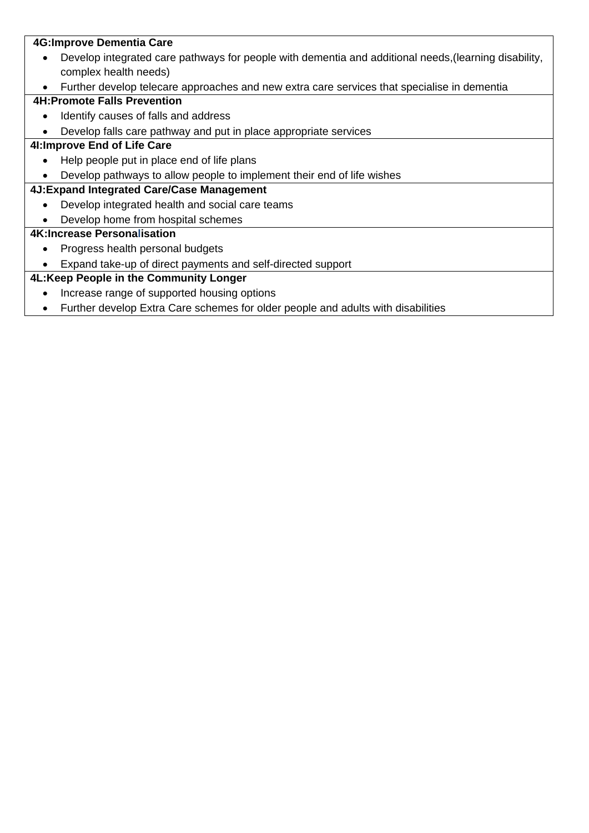# **4G:Improve Dementia Care**

- Develop integrated care pathways for people with dementia and additional needs,(learning disability, complex health needs)
- Further develop telecare approaches and new extra care services that specialise in dementia

# **4H:Promote Falls Prevention**

- Identify causes of falls and address
- Develop falls care pathway and put in place appropriate services

# **4I:Improve End of Life Care**

- Help people put in place end of life plans
- Develop pathways to allow people to implement their end of life wishes

# **4J:Expand Integrated Care/Case Management**

- Develop integrated health and social care teams
- Develop home from hospital schemes

# **4K:Increase Personalisation**

- Progress health personal budgets
- Expand take-up of direct payments and self-directed support

# **4L:Keep People in the Community Longer**

- Increase range of supported housing options
- Further develop Extra Care schemes for older people and adults with disabilities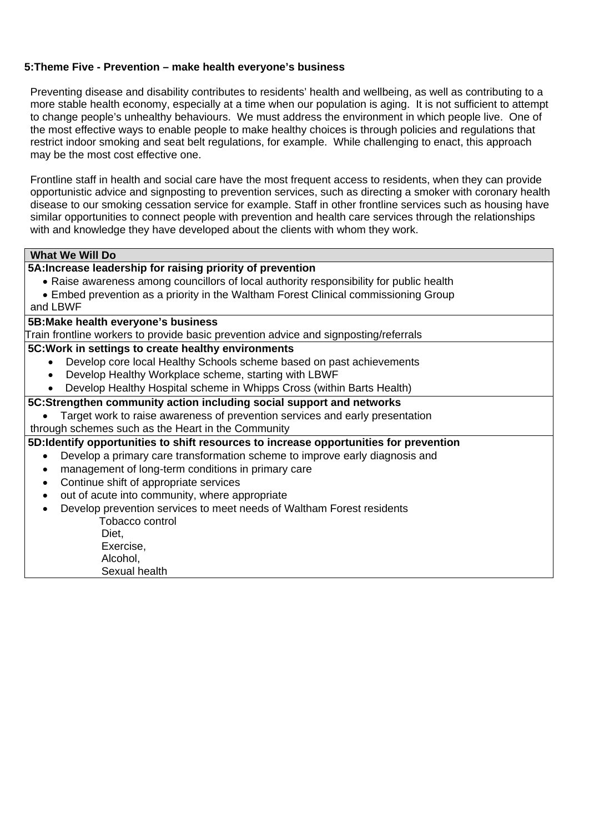## **5:Theme Five - Prevention – make health everyone's business**

Preventing disease and disability contributes to residents' health and wellbeing, as well as contributing to a more stable health economy, especially at a time when our population is aging. It is not sufficient to attempt to change people's unhealthy behaviours. We must address the environment in which people live. One of the most effective ways to enable people to make healthy choices is through policies and regulations that restrict indoor smoking and seat belt regulations, for example. While challenging to enact, this approach may be the most cost effective one.

Frontline staff in health and social care have the most frequent access to residents, when they can provide opportunistic advice and signposting to prevention services, such as directing a smoker with coronary health disease to our smoking cessation service for example. Staff in other frontline services such as housing have similar opportunities to connect people with prevention and health care services through the relationships with and knowledge they have developed about the clients with whom they work.

# **What We Will Do**

# **5A:Increase leadership for raising priority of prevention**

- Raise awareness among councillors of local authority responsibility for public health
- Embed prevention as a priority in the Waltham Forest Clinical commissioning Group
- and LBWF

## **5B:Make health everyone's business**

Train frontline workers to provide basic prevention advice and signposting/referrals

### **5C:Work in settings to create healthy environments**

- Develop core local Healthy Schools scheme based on past achievements
- Develop Healthy Workplace scheme, starting with LBWF
- Develop Healthy Hospital scheme in Whipps Cross (within Barts Health)

### **5C:Strengthen community action including social support and networks**

- Target work to raise awareness of prevention services and early presentation
- through schemes such as the Heart in the Community

### **5D:Identify opportunities to shift resources to increase opportunities for prevention**

- Develop a primary care transformation scheme to improve early diagnosis and
- management of long-term conditions in primary care
- Continue shift of appropriate services
- out of acute into community, where appropriate
- Develop prevention services to meet needs of Waltham Forest residents Tobacco control Diet,
	- Exercise, Alcohol, Sexual health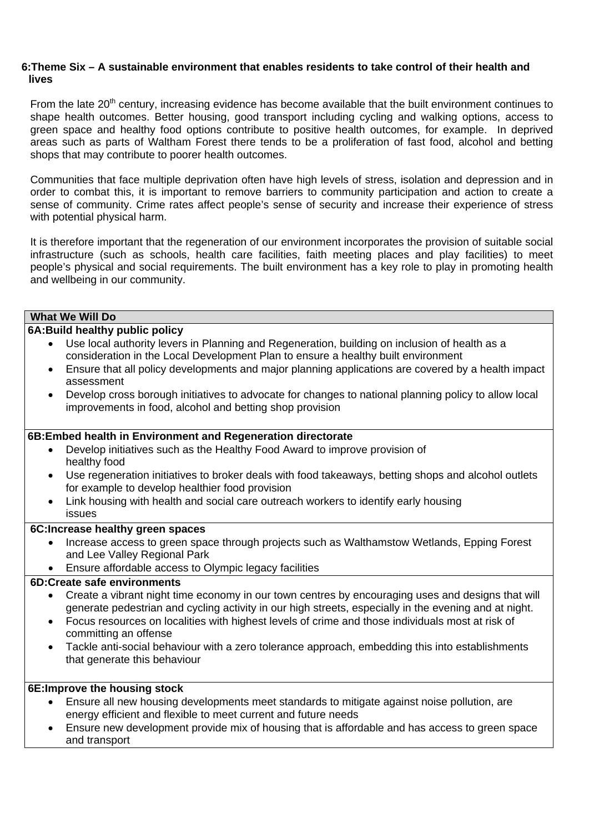## **6:Theme Six – A sustainable environment that enables residents to take control of their health and lives**

From the late 20<sup>th</sup> century, increasing evidence has become available that the built environment continues to shape health outcomes. Better housing, good transport including cycling and walking options, access to green space and healthy food options contribute to positive health outcomes, for example. In deprived areas such as parts of Waltham Forest there tends to be a proliferation of fast food, alcohol and betting shops that may contribute to poorer health outcomes.

Communities that face multiple deprivation often have high levels of stress, isolation and depression and in order to combat this, it is important to remove barriers to community participation and action to create a sense of community. Crime rates affect people's sense of security and increase their experience of stress with potential physical harm.

It is therefore important that the regeneration of our environment incorporates the provision of suitable social infrastructure (such as schools, health care facilities, faith meeting places and play facilities) to meet people's physical and social requirements. The built environment has a key role to play in promoting health and wellbeing in our community.

## **What We Will Do**

## **6A:Build healthy public policy**

- Use local authority levers in Planning and Regeneration, building on inclusion of health as a consideration in the Local Development Plan to ensure a healthy built environment
- Ensure that all policy developments and major planning applications are covered by a health impact assessment
- Develop cross borough initiatives to advocate for changes to national planning policy to allow local improvements in food, alcohol and betting shop provision

## **6B:Embed health in Environment and Regeneration directorate**

- Develop initiatives such as the Healthy Food Award to improve provision of healthy food
- Use regeneration initiatives to broker deals with food takeaways, betting shops and alcohol outlets for example to develop healthier food provision
- Link housing with health and social care outreach workers to identify early housing issues

### **6C:Increase healthy green spaces**

- Increase access to green space through projects such as Walthamstow Wetlands, Epping Forest and Lee Valley Regional Park
- Ensure affordable access to Olympic legacy facilities

## **6D:Create safe environments**

- Create a vibrant night time economy in our town centres by encouraging uses and designs that will generate pedestrian and cycling activity in our high streets, especially in the evening and at night.
- Focus resources on localities with highest levels of crime and those individuals most at risk of committing an offense
- Tackle anti-social behaviour with a zero tolerance approach, embedding this into establishments that generate this behaviour

# **6E:Improve the housing stock**

- Ensure all new housing developments meet standards to mitigate against noise pollution, are energy efficient and flexible to meet current and future needs
- Ensure new development provide mix of housing that is affordable and has access to green space and transport